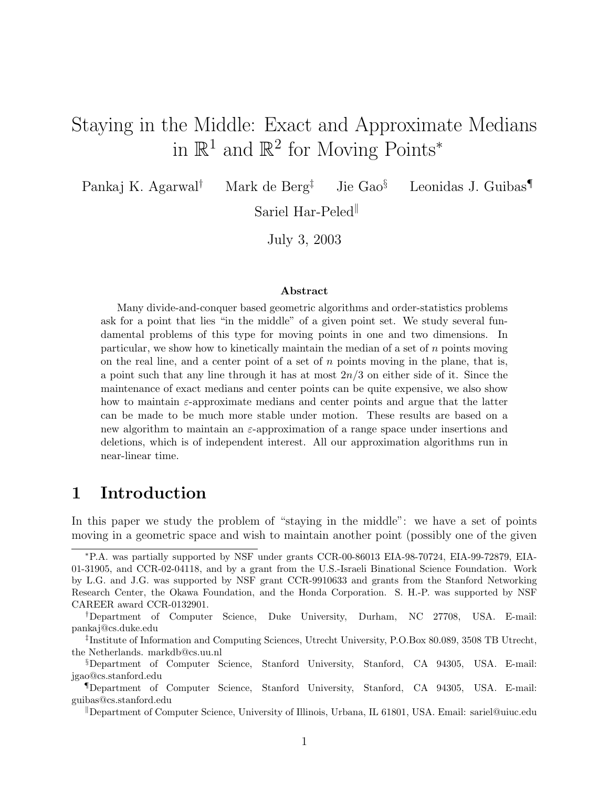# Staying in the Middle: Exact and Approximate Medians in  $\mathbb{R}^1$  and  $\mathbb{R}^2$  for Moving Points<sup>\*</sup>

Pankaj K. Agarwal† Mark de Berg‡ Jie Gao§ Leonidas J. Guibas¶

Sariel Har-Peled<sup>||</sup>

July 3, 2003

#### Abstract

Many divide-and-conquer based geometric algorithms and order-statistics problems ask for a point that lies "in the middle" of a given point set. We study several fundamental problems of this type for moving points in one and two dimensions. In particular, we show how to kinetically maintain the median of a set of  $n$  points moving on the real line, and a center point of a set of  $n$  points moving in the plane, that is, a point such that any line through it has at most  $2n/3$  on either side of it. Since the maintenance of exact medians and center points can be quite expensive, we also show how to maintain  $\varepsilon$ -approximate medians and center points and argue that the latter can be made to be much more stable under motion. These results are based on a new algorithm to maintain an  $\varepsilon$ -approximation of a range space under insertions and deletions, which is of independent interest. All our approximation algorithms run in near-linear time.

# 1 Introduction

In this paper we study the problem of "staying in the middle": we have a set of points moving in a geometric space and wish to maintain another point (possibly one of the given

<sup>∗</sup>P.A. was partially supported by NSF under grants CCR-00-86013 EIA-98-70724, EIA-99-72879, EIA-01-31905, and CCR-02-04118, and by a grant from the U.S.-Israeli Binational Science Foundation. Work by L.G. and J.G. was supported by NSF grant CCR-9910633 and grants from the Stanford Networking Research Center, the Okawa Foundation, and the Honda Corporation. S. H.-P. was supported by NSF CAREER award CCR-0132901.

<sup>†</sup>Department of Computer Science, Duke University, Durham, NC 27708, USA. E-mail: pankaj@cs.duke.edu

<sup>‡</sup> Institute of Information and Computing Sciences, Utrecht University, P.O.Box 80.089, 3508 TB Utrecht, the Netherlands. markdb@cs.uu.nl

<sup>§</sup>Department of Computer Science, Stanford University, Stanford, CA 94305, USA. E-mail: jgao@cs.stanford.edu

<sup>¶</sup>Department of Computer Science, Stanford University, Stanford, CA 94305, USA. E-mail: guibas@cs.stanford.edu

<sup>k</sup>Department of Computer Science, University of Illinois, Urbana, IL 61801, USA. Email: sariel@uiuc.edu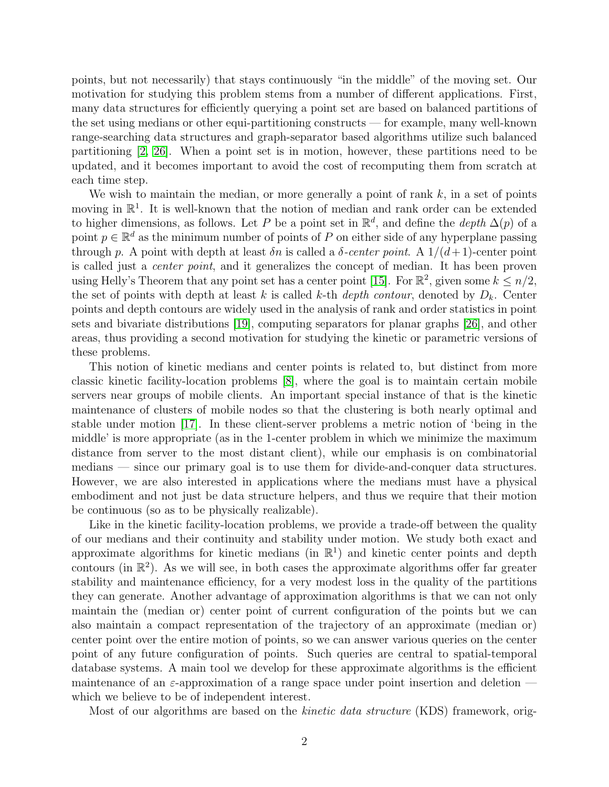points, but not necessarily) that stays continuously "in the middle" of the moving set. Our motivation for studying this problem stems from a number of different applications. First, many data structures for efficiently querying a point set are based on balanced partitions of the set using medians or other equi-partitioning constructs — for example, many well-known range-searching data structures and graph-separator based algorithms utilize such balanced partitioning [\[2,](#page-12-0) [26\]](#page-13-0). When a point set is in motion, however, these partitions need to be updated, and it becomes important to avoid the cost of recomputing them from scratch at each time step.

We wish to maintain the median, or more generally a point of rank  $k$ , in a set of points moving in  $\mathbb{R}^1$ . It is well-known that the notion of median and rank order can be extended to higher dimensions, as follows. Let P be a point set in  $\mathbb{R}^d$ , and define the *depth*  $\Delta(p)$  of a point  $p \in \mathbb{R}^d$  as the minimum number of points of P on either side of any hyperplane passing through p. A point with depth at least  $\delta n$  is called a  $\delta$ -center point. A  $1/(d+1)$ -center point is called just a center point, and it generalizes the concept of median. It has been proven using Helly's Theorem that any point set has a center point [\[15\]](#page-13-1). For  $\mathbb{R}^2$ , given some  $k \leq n/2$ , the set of points with depth at least k is called k-th *depth contour*, denoted by  $D_k$ . Center points and depth contours are widely used in the analysis of rank and order statistics in point sets and bivariate distributions [\[19\]](#page-13-2), computing separators for planar graphs [\[26\]](#page-13-0), and other areas, thus providing a second motivation for studying the kinetic or parametric versions of these problems.

This notion of kinetic medians and center points is related to, but distinct from more classic kinetic facility-location problems [\[8\]](#page-12-1), where the goal is to maintain certain mobile servers near groups of mobile clients. An important special instance of that is the kinetic maintenance of clusters of mobile nodes so that the clustering is both nearly optimal and stable under motion [\[17\]](#page-13-3). In these client-server problems a metric notion of 'being in the middle' is more appropriate (as in the 1-center problem in which we minimize the maximum distance from server to the most distant client), while our emphasis is on combinatorial medians — since our primary goal is to use them for divide-and-conquer data structures. However, we are also interested in applications where the medians must have a physical embodiment and not just be data structure helpers, and thus we require that their motion be continuous (so as to be physically realizable).

Like in the kinetic facility-location problems, we provide a trade-off between the quality of our medians and their continuity and stability under motion. We study both exact and approximate algorithms for kinetic medians (in  $\mathbb{R}^1$ ) and kinetic center points and depth contours (in  $\mathbb{R}^2$ ). As we will see, in both cases the approximate algorithms offer far greater stability and maintenance efficiency, for a very modest loss in the quality of the partitions they can generate. Another advantage of approximation algorithms is that we can not only maintain the (median or) center point of current configuration of the points but we can also maintain a compact representation of the trajectory of an approximate (median or) center point over the entire motion of points, so we can answer various queries on the center point of any future configuration of points. Such queries are central to spatial-temporal database systems. A main tool we develop for these approximate algorithms is the efficient maintenance of an  $\varepsilon$ -approximation of a range space under point insertion and deletion which we believe to be of independent interest.

Most of our algorithms are based on the *kinetic data structure* (KDS) framework, orig-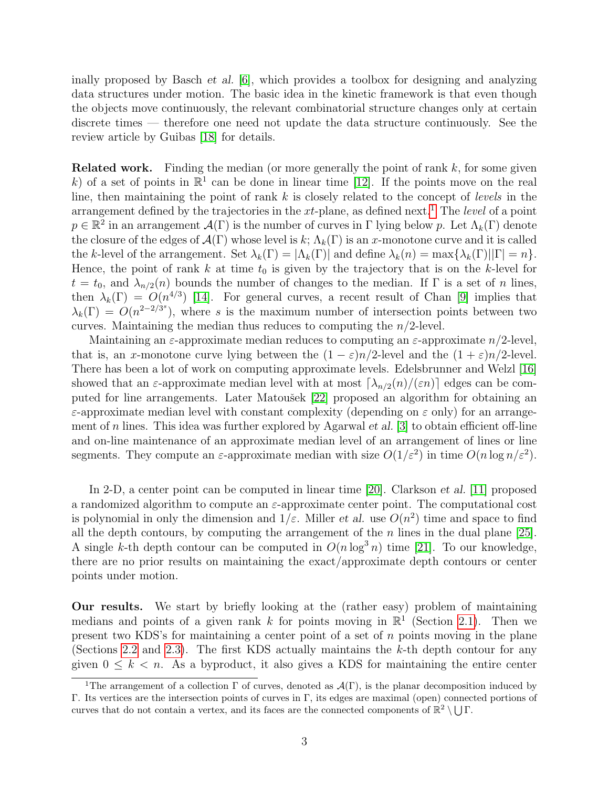inally proposed by Basch et al. [\[6\]](#page-12-2), which provides a toolbox for designing and analyzing data structures under motion. The basic idea in the kinetic framework is that even though the objects move continuously, the relevant combinatorial structure changes only at certain discrete times — therefore one need not update the data structure continuously. See the review article by Guibas [\[18\]](#page-13-4) for details.

**Related work.** Finding the median (or more generally the point of rank  $k$ , for some given k) of a set of points in  $\mathbb{R}^1$  can be done in linear time [\[12\]](#page-12-3). If the points move on the real line, then maintaining the point of rank  $k$  is closely related to the concept of *levels* in the arrangement defined by the trajectories in the xt-plane, as defined next.<sup>[1](#page-2-0)</sup> The level of a point  $p \in \mathbb{R}^2$  in an arrangement  $\mathcal{A}(\Gamma)$  is the number of curves in  $\Gamma$  lying below p. Let  $\Lambda_k(\Gamma)$  denote the closure of the edges of  $\mathcal{A}(\Gamma)$  whose level is k;  $\Lambda_k(\Gamma)$  is an x-monotone curve and it is called the k-level of the arrangement. Set  $\lambda_k(\Gamma) = |\Lambda_k(\Gamma)|$  and define  $\lambda_k(n) = \max{\{\lambda_k(\Gamma)| |\Gamma| = n\}}$ . Hence, the point of rank  $k$  at time  $t_0$  is given by the trajectory that is on the k-level for  $t = t_0$ , and  $\lambda_{n/2}(n)$  bounds the number of changes to the median. If  $\Gamma$  is a set of n lines, then  $\lambda_k(\Gamma) = O(n^{4/3})$  [\[14\]](#page-12-4). For general curves, a recent result of Chan [\[9\]](#page-12-5) implies that  $\lambda_k(\Gamma) = O(n^{2-2/3^{s}})$ , where s is the maximum number of intersection points between two curves. Maintaining the median thus reduces to computing the  $n/2$ -level.

Maintaining an  $\varepsilon$ -approximate median reduces to computing an  $\varepsilon$ -approximate  $n/2$ -level, that is, an x-monotone curve lying between the  $(1 - \varepsilon)n/2$ -level and the  $(1 + \varepsilon)n/2$ -level. There has been a lot of work on computing approximate levels. Edelsbrunner and Welzl [\[16\]](#page-13-5) showed that an  $\varepsilon$ -approximate median level with at most  $\lceil \lambda_{n/2}(n)/(\varepsilon n) \rceil$  edges can be com-puted for line arrangements. Later Matoušek [\[22\]](#page-13-6) proposed an algorithm for obtaining an  $\varepsilon$ -approximate median level with constant complexity (depending on  $\varepsilon$  only) for an arrange-ment of n lines. This idea was further explored by Agarwal et al. [\[3\]](#page-12-6) to obtain efficient off-line and on-line maintenance of an approximate median level of an arrangement of lines or line segments. They compute an  $\varepsilon$ -approximate median with size  $O(1/\varepsilon^2)$  in time  $O(n \log n/\varepsilon^2)$ .

In 2-D, a center point can be computed in linear time [\[20\]](#page-13-7). Clarkson et al. [\[11\]](#page-12-7) proposed a randomized algorithm to compute an  $\varepsilon$ -approximate center point. The computational cost is polynomial in only the dimension and  $1/\varepsilon$ . Miller *et al.* use  $O(n^2)$  time and space to find all the depth contours, by computing the arrangement of the  $n$  lines in the dual plane [\[25\]](#page-13-8). A single k-th depth contour can be computed in  $O(n \log^3 n)$  time [\[21\]](#page-13-9). To our knowledge, there are no prior results on maintaining the exact/approximate depth contours or center points under motion.

Our results. We start by briefly looking at the (rather easy) problem of maintaining medians and points of a given rank k for points moving in  $\mathbb{R}^1$  (Section [2.1\)](#page-3-0). Then we present two KDS's for maintaining a center point of a set of n points moving in the plane (Sections [2.2](#page-4-0) and [2.3\)](#page-6-0). The first KDS actually maintains the k-th depth contour for any given  $0 \leq k \leq n$ . As a byproduct, it also gives a KDS for maintaining the entire center

<span id="page-2-0"></span><sup>&</sup>lt;sup>1</sup>The arrangement of a collection Γ of curves, denoted as  $\mathcal{A}(\Gamma)$ , is the planar decomposition induced by Γ. Its vertices are the intersection points of curves in Γ, its edges are maximal (open) connected portions of curves that do not contain a vertex, and its faces are the connected components of  $\mathbb{R}^2 \setminus \bigcup \Gamma$ .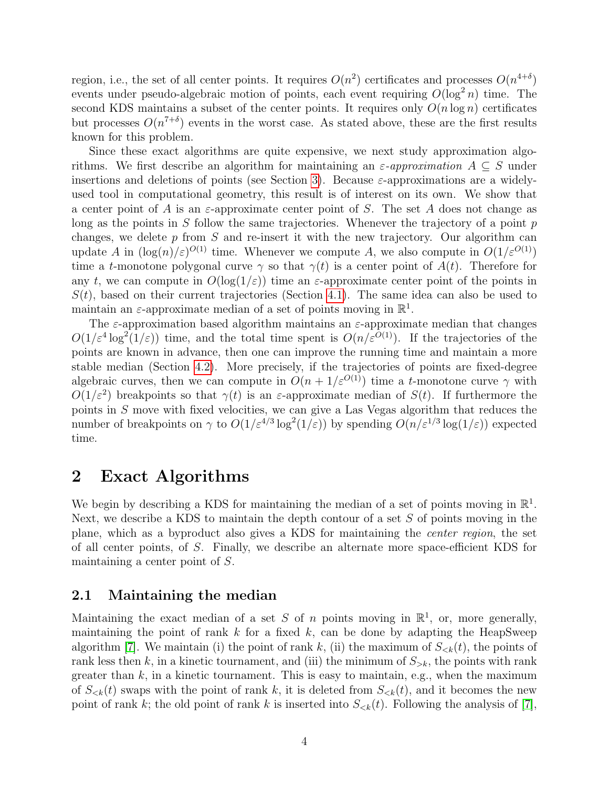region, i.e., the set of all center points. It requires  $O(n^2)$  certificates and processes  $O(n^{4+\delta})$ events under pseudo-algebraic motion of points, each event requiring  $O(\log^2 n)$  time. The second KDS maintains a subset of the center points. It requires only  $O(n \log n)$  certificates but processes  $O(n^{7+\delta})$  events in the worst case. As stated above, these are the first results known for this problem.

Since these exact algorithms are quite expensive, we next study approximation algorithms. We first describe an algorithm for maintaining an  $\varepsilon$ -approximation  $A \subseteq S$  under insertions and deletions of points (see Section [3\)](#page-7-0). Because  $\varepsilon$ -approximations are a widelyused tool in computational geometry, this result is of interest on its own. We show that a center point of A is an  $\varepsilon$ -approximate center point of S. The set A does not change as long as the points in  $S$  follow the same trajectories. Whenever the trajectory of a point  $p$ changes, we delete  $p$  from  $S$  and re-insert it with the new trajectory. Our algorithm can update A in  $(\log(n)/\varepsilon)^{O(1)}$  time. Whenever we compute A, we also compute in  $O(1/\varepsilon^{O(1)})$ time a t-monotone polygonal curve  $\gamma$  so that  $\gamma(t)$  is a center point of  $A(t)$ . Therefore for any t, we can compute in  $O(\log(1/\varepsilon))$  time an  $\varepsilon$ -approximate center point of the points in  $S(t)$ , based on their current trajectories (Section [4.1\)](#page-10-0). The same idea can also be used to maintain an  $\varepsilon$ -approximate median of a set of points moving in  $\mathbb{R}^1$ .

The  $\varepsilon$ -approximation based algorithm maintains an  $\varepsilon$ -approximate median that changes  $O(1/\varepsilon^4 \log^2(1/\varepsilon))$  time, and the total time spent is  $O(n/\varepsilon^{O(1)})$ . If the trajectories of the points are known in advance, then one can improve the running time and maintain a more stable median (Section [4.2\)](#page-10-1). More precisely, if the trajectories of points are fixed-degree algebraic curves, then we can compute in  $O(n + 1/\varepsilon^{O(1)})$  time a t-monotone curve  $\gamma$  with  $O(1/\varepsilon^2)$  breakpoints so that  $\gamma(t)$  is an  $\varepsilon$ -approximate median of  $S(t)$ . If furthermore the points in S move with fixed velocities, we can give a Las Vegas algorithm that reduces the number of breakpoints on  $\gamma$  to  $O(1/\varepsilon^{4/3} \log^2(1/\varepsilon))$  by spending  $O(n/\varepsilon^{1/3} \log(1/\varepsilon))$  expected time.

# 2 Exact Algorithms

We begin by describing a KDS for maintaining the median of a set of points moving in  $\mathbb{R}^1$ . Next, we describe a KDS to maintain the depth contour of a set S of points moving in the plane, which as a byproduct also gives a KDS for maintaining the center region, the set of all center points, of S. Finally, we describe an alternate more space-efficient KDS for maintaining a center point of S.

### <span id="page-3-0"></span>2.1 Maintaining the median

Maintaining the exact median of a set S of n points moving in  $\mathbb{R}^1$ , or, more generally, maintaining the point of rank  $k$  for a fixed  $k$ , can be done by adapting the HeapSweep algorithm [\[7\]](#page-12-8). We maintain (i) the point of rank k, (ii) the maximum of  $S_{\leq k}(t)$ , the points of rank less then k, in a kinetic tournament, and (iii) the minimum of  $S_{\geq k}$ , the points with rank greater than  $k$ , in a kinetic tournament. This is easy to maintain, e.g., when the maximum of  $S_{\leq k}(t)$  swaps with the point of rank k, it is deleted from  $S_{\leq k}(t)$ , and it becomes the new point of rank k; the old point of rank k is inserted into  $S_{\leq k}(t)$ . Following the analysis of [\[7\]](#page-12-8),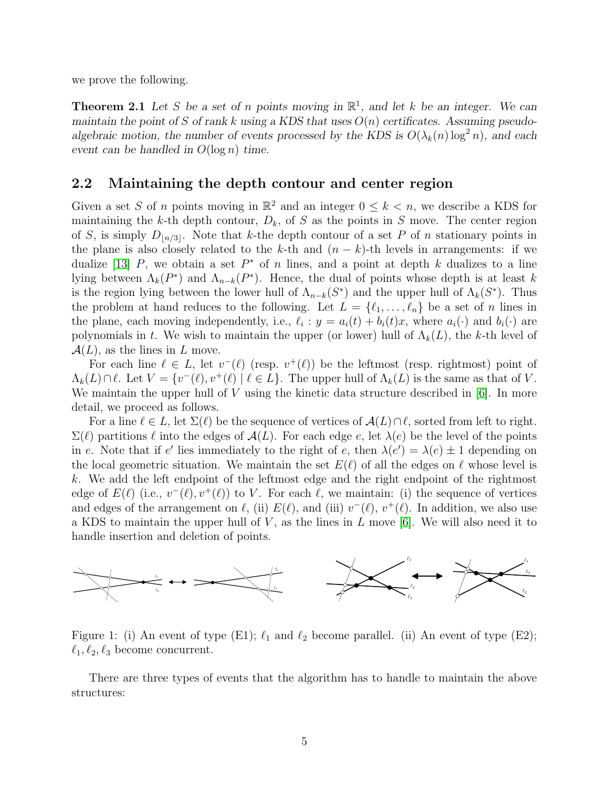we prove the following.

**Theorem 2.1** Let S be a set of n points moving in  $\mathbb{R}^1$ , and let k be an integer. We can maintain the point of S of rank k using a KDS that uses  $O(n)$  certificates. Assuming pseudoalgebraic motion, the number of events processed by the KDS is  $O(\lambda_k(n) \log^2 n)$ , and each event can be handled in  $O(\log n)$  time.

#### <span id="page-4-0"></span>2.2 Maintaining the depth contour and center region

Given a set S of n points moving in  $\mathbb{R}^2$  and an integer  $0 \leq k \leq n$ , we describe a KDS for maintaining the k-th depth contour,  $D_k$ , of S as the points in S move. The center region of S, is simply  $D_{n/3}$ . Note that k-the depth contour of a set P of n stationary points in the plane is also closely related to the k-th and  $(n - k)$ -th levels in arrangements: if we dualize [\[13\]](#page-12-9) P, we obtain a set  $P^*$  of n lines, and a point at depth k dualizes to a line lying between  $\Lambda_k(P^*)$  and  $\Lambda_{n-k}(P^*)$ . Hence, the dual of points whose depth is at least k is the region lying between the lower hull of  $\Lambda_{n-k}(S^*)$  and the upper hull of  $\Lambda_k(S^*)$ . Thus the problem at hand reduces to the following. Let  $L = \{\ell_1, \ldots, \ell_n\}$  be a set of n lines in the plane, each moving independently, i.e.,  $\ell_i : y = a_i(t) + b_i(t)x$ , where  $a_i(\cdot)$  and  $b_i(\cdot)$  are polynomials in t. We wish to maintain the upper (or lower) hull of  $\Lambda_k(L)$ , the k-th level of  $\mathcal{A}(L)$ , as the lines in L move.

For each line  $\ell \in L$ , let  $v^-(\ell)$  (resp.  $v^+(\ell)$ ) be the leftmost (resp. rightmost) point of  $\Lambda_k(L) \cap \ell$ . Let  $V = \{v^-(\ell), v^+(\ell) \mid \ell \in L\}$ . The upper hull of  $\Lambda_k(L)$  is the same as that of V. We maintain the upper hull of  $V$  using the kinetic data structure described in [\[6\]](#page-12-2). In more detail, we proceed as follows.

For a line  $\ell \in L$ , let  $\Sigma(\ell)$  be the sequence of vertices of  $\mathcal{A}(L)\cap \ell$ , sorted from left to right.  $\Sigma(\ell)$  partitions  $\ell$  into the edges of  $\mathcal{A}(L)$ . For each edge e, let  $\lambda(e)$  be the level of the points in e. Note that if e' lies immediately to the right of e, then  $\lambda(e') = \lambda(e) \pm 1$  depending on the local geometric situation. We maintain the set  $E(\ell)$  of all the edges on  $\ell$  whose level is k. We add the left endpoint of the leftmost edge and the right endpoint of the rightmost edge of  $E(\ell)$  (i.e.,  $v^-(\ell), v^+(\ell)$ ) to V. For each  $\ell$ , we maintain: (i) the sequence of vertices and edges of the arrangement on  $\ell$ , (ii)  $E(\ell)$ , and (iii)  $v^-(\ell)$ ,  $v^+(\ell)$ . In addition, we also use a KDS to maintain the upper hull of  $V$ , as the lines in  $L$  move [\[6\]](#page-12-2). We will also need it to handle insertion and deletion of points.



<span id="page-4-1"></span>Figure 1: (i) An event of type (E1);  $\ell_1$  and  $\ell_2$  become parallel. (ii) An event of type (E2);  $\ell_1, \ell_2, \ell_3$  become concurrent.

There are three types of events that the algorithm has to handle to maintain the above structures: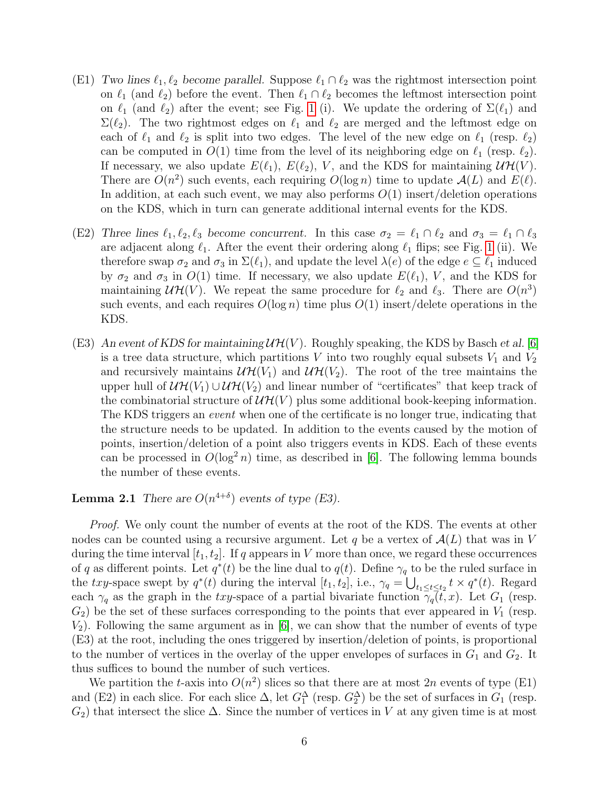- (E1) Two lines  $\ell_1, \ell_2$  become parallel. Suppose  $\ell_1 \cap \ell_2$  was the rightmost intersection point on  $\ell_1$  (and  $\ell_2$ ) before the event. Then  $\ell_1 \cap \ell_2$  becomes the leftmost intersection point on  $\ell_1$  (and  $\ell_2$ ) after the event; see Fig. [1](#page-4-1) (i). We update the ordering of  $\Sigma(\ell_1)$  and  $\Sigma(\ell_2)$ . The two rightmost edges on  $\ell_1$  and  $\ell_2$  are merged and the leftmost edge on each of  $\ell_1$  and  $\ell_2$  is split into two edges. The level of the new edge on  $\ell_1$  (resp.  $\ell_2$ ) can be computed in  $O(1)$  time from the level of its neighboring edge on  $\ell_1$  (resp.  $\ell_2$ ). If necessary, we also update  $E(\ell_1), E(\ell_2), V$ , and the KDS for maintaining  $\mathcal{UH}(V)$ . There are  $O(n^2)$  such events, each requiring  $O(\log n)$  time to update  $\mathcal{A}(L)$  and  $E(\ell)$ . In addition, at each such event, we may also performs  $O(1)$  insert/deletion operations on the KDS, which in turn can generate additional internal events for the KDS.
- (E2) Three lines  $\ell_1, \ell_2, \ell_3$  become concurrent. In this case  $\sigma_2 = \ell_1 \cap \ell_2$  and  $\sigma_3 = \ell_1 \cap \ell_3$ are adjacent along  $\ell_1$ . After the event their ordering along  $\ell_1$  flips; see Fig. [1](#page-4-1) (ii). We therefore swap  $\sigma_2$  and  $\sigma_3$  in  $\Sigma(\ell_1)$ , and update the level  $\lambda(e)$  of the edge  $e \subseteq \ell_1$  induced by  $\sigma_2$  and  $\sigma_3$  in  $O(1)$  time. If necessary, we also update  $E(\ell_1)$ , V, and the KDS for maintaining  $\mathcal{U}\mathcal{H}(V)$ . We repeat the same procedure for  $\ell_2$  and  $\ell_3$ . There are  $O(n^3)$ such events, and each requires  $O(\log n)$  time plus  $O(1)$  insert/delete operations in the KDS.
- (E3) An event of KDS for maintaining  $\mathcal{U}\mathcal{H}(V)$ . Roughly speaking, the KDS by Basch et al. [\[6\]](#page-12-2) is a tree data structure, which partitions  $V$  into two roughly equal subsets  $V_1$  and  $V_2$ and recursively maintains  $\mathcal{UH}(V_1)$  and  $\mathcal{UH}(V_2)$ . The root of the tree maintains the upper hull of  $\mathcal{UH}(V_1) \cup \mathcal{UH}(V_2)$  and linear number of "certificates" that keep track of the combinatorial structure of  $\mathcal{UH}(V)$  plus some additional book-keeping information. The KDS triggers an event when one of the certificate is no longer true, indicating that the structure needs to be updated. In addition to the events caused by the motion of points, insertion/deletion of a point also triggers events in KDS. Each of these events can be processed in  $O(\log^2 n)$  time, as described in [\[6\]](#page-12-2). The following lemma bounds the number of these events.

<span id="page-5-0"></span>**Lemma 2.1** There are  $O(n^{4+\delta})$  events of type (E3).

*Proof.* We only count the number of events at the root of the KDS. The events at other nodes can be counted using a recursive argument. Let q be a vertex of  $A(L)$  that was in V during the time interval  $[t_1, t_2]$ . If q appears in V more than once, we regard these occurrences of q as different points. Let  $q^*(t)$  be the line dual to  $q(t)$ . Define  $\gamma_q$  to be the ruled surface in the txy-space swept by  $q^*(t)$  during the interval  $[t_1, t_2]$ , i.e.,  $\gamma_q = \bigcup_{t_1 \le t \le t_2} t \times q^*(t)$ . Regard each  $\gamma_q$  as the graph in the txy-space of a partial bivariate function  $\gamma_q(\tilde{t}, x)$ . Let  $G_1$  (resp.  $G_2$ ) be the set of these surfaces corresponding to the points that ever appeared in  $V_1$  (resp.  $V_2$ ). Following the same argument as in [\[6\]](#page-12-2), we can show that the number of events of type (E3) at the root, including the ones triggered by insertion/deletion of points, is proportional to the number of vertices in the overlay of the upper envelopes of surfaces in  $G_1$  and  $G_2$ . It thus suffices to bound the number of such vertices.

We partition the t-axis into  $O(n^2)$  slices so that there are at most 2n events of type (E1) and (E2) in each slice. For each slice  $\Delta$ , let  $G_1^{\Delta}$  (resp.  $G_2^{\Delta}$ ) be the set of surfaces in  $G_1$  (resp.  $G_2$ ) that intersect the slice  $\Delta$ . Since the number of vertices in V at any given time is at most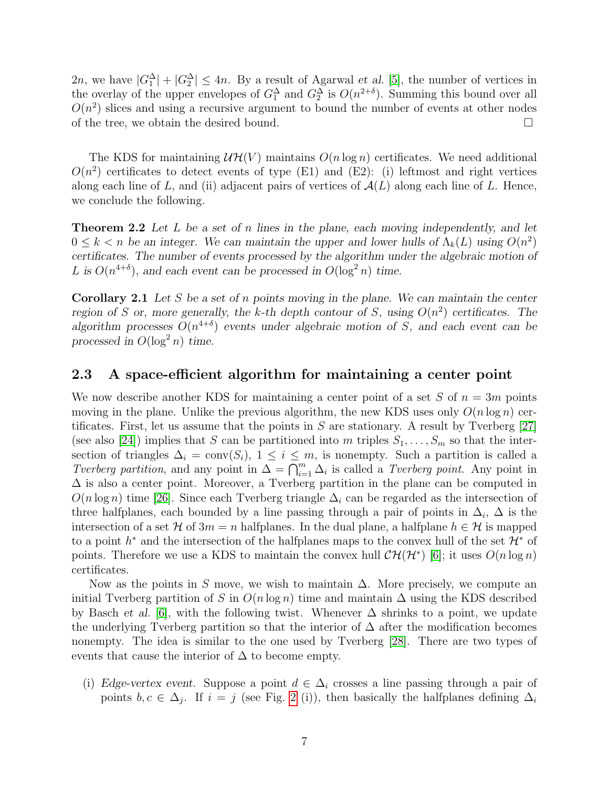2n, we have  $|G_1^{\Delta}| + |G_2^{\Delta}| \le 4n$ . By a result of Agarwal *et al.* [\[5\]](#page-12-10), the number of vertices in the overlay of the upper envelopes of  $G_1^{\Delta}$  and  $G_2^{\Delta}$  is  $O(n^{2+\delta})$ . Summing this bound over all  $O(n^2)$  slices and using a recursive argument to bound the number of events at other nodes of the tree, we obtain the desired bound.

The KDS for maintaining  $\mathcal{UH}(V)$  maintains  $O(n \log n)$  certificates. We need additional  $O(n^2)$  certificates to detect events of type (E1) and (E2): (i) leftmost and right vertices along each line of L, and (ii) adjacent pairs of vertices of  $A(L)$  along each line of L. Hence, we conclude the following.

**Theorem 2.2** Let L be a set of n lines in the plane, each moving independently, and let  $0 \leq k < n$  be an integer. We can maintain the upper and lower hulls of  $\Lambda_k(L)$  using  $O(n^2)$ certificates. The number of events processed by the algorithm under the algebraic motion of L is  $O(n^{4+\delta})$ , and each event can be processed in  $O(\log^2 n)$  time.

Corollary 2.1 Let S be a set of n points moving in the plane. We can maintain the center region of S or, more generally, the k-th depth contour of S, using  $O(n^2)$  certificates. The algorithm processes  $O(n^{4+\delta})$  events under algebraic motion of S, and each event can be processed in  $O(\log^2 n)$  time.

#### <span id="page-6-0"></span>2.3 A space-efficient algorithm for maintaining a center point

We now describe another KDS for maintaining a center point of a set S of  $n = 3m$  points moving in the plane. Unlike the previous algorithm, the new KDS uses only  $O(n \log n)$  certificates. First, let us assume that the points in  $S$  are stationary. A result by Tverberg [\[27\]](#page-13-10) (see also [\[24\]](#page-13-11)) implies that S can be partitioned into m triples  $S_1, \ldots, S_m$  so that the intersection of triangles  $\Delta_i = \text{conv}(S_i)$ ,  $1 \leq i \leq m$ , is nonempty. Such a partition is called a Tverberg partition, and any point in  $\Delta = \bigcap_{i=1}^m \Delta_i$  is called a Tverberg point. Any point in  $\Delta$  is also a center point. Moreover, a Tverberg partition in the plane can be computed in  $O(n \log n)$  time [\[26\]](#page-13-0). Since each Tverberg triangle  $\Delta_i$  can be regarded as the intersection of three halfplanes, each bounded by a line passing through a pair of points in  $\Delta_i$ ,  $\Delta$  is the intersection of a set H of  $3m = n$  halfplanes. In the dual plane, a halfplane  $h \in \mathcal{H}$  is mapped to a point  $h^*$  and the intersection of the halfplanes maps to the convex hull of the set  $\mathcal{H}^*$  of points. Therefore we use a KDS to maintain the convex hull  $\mathcal{CH}(\mathcal{H}^*)$  [\[6\]](#page-12-2); it uses  $O(n \log n)$ certificates.

Now as the points in S move, we wish to maintain  $\Delta$ . More precisely, we compute an initial Tverberg partition of S in  $O(n \log n)$  time and maintain  $\Delta$  using the KDS described by Basch et al. [\[6\]](#page-12-2), with the following twist. Whenever  $\Delta$  shrinks to a point, we update the underlying Tverberg partition so that the interior of  $\Delta$  after the modification becomes nonempty. The idea is similar to the one used by Tverberg [\[28\]](#page-13-12). There are two types of events that cause the interior of  $\Delta$  to become empty.

(i) Edge-vertex event. Suppose a point  $d \in \Delta_i$  crosses a line passing through a pair of points  $b, c \in \Delta_j$ . If  $i = j$  (see Fig. [2](#page-7-1) (i)), then basically the halfplanes defining  $\Delta_i$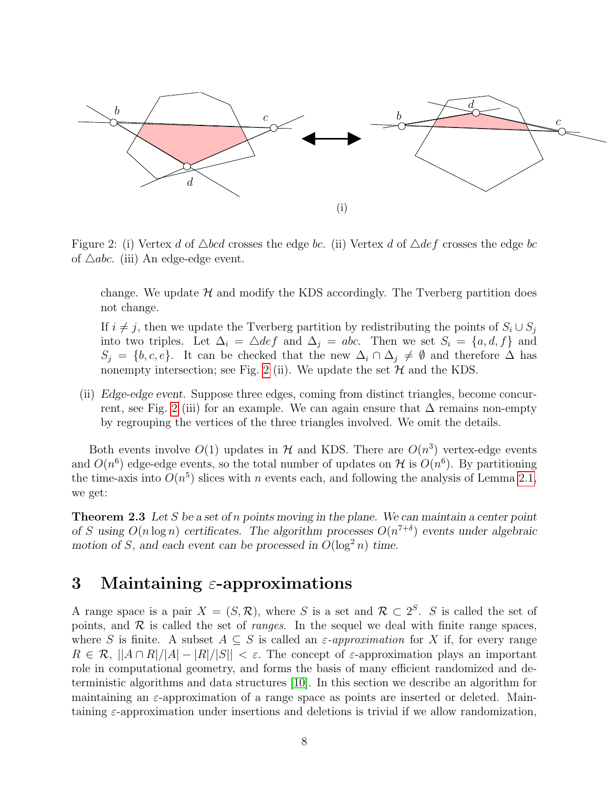

Figure 2: (i) Vertex d of  $\triangle$ bcd crosses the edge bc. (ii) Vertex d of  $\triangle$ def crosses the edge bc of  $\triangle abc$ . (iii) An edge-edge event.

<span id="page-7-1"></span>change. We update  $H$  and modify the KDS accordingly. The Tverberg partition does not change.

If  $i \neq j$ , then we update the Tverberg partition by redistributing the points of  $S_i \cup S_j$ into two triples. Let  $\Delta_i = \Delta def$  and  $\Delta_j = abc$ . Then we set  $S_i = \{a, d, f\}$  and  $S_i = \{b, c, e\}$ . It can be checked that the new  $\Delta_i \cap \Delta_j \neq \emptyset$  and therefore  $\Delta$  has nonempty intersection; see Fig. [2](#page-7-1) (ii). We update the set  $H$  and the KDS.

(ii) Edge-edge event. Suppose three edges, coming from distinct triangles, become concur-rent, see Fig. [2](#page-7-1) (iii) for an example. We can again ensure that  $\Delta$  remains non-empty by regrouping the vertices of the three triangles involved. We omit the details.

Both events involve  $O(1)$  updates in  $H$  and KDS. There are  $O(n^3)$  vertex-edge events and  $O(n^6)$  edge-edge events, so the total number of updates on H is  $O(n^6)$ . By partitioning the time-axis into  $O(n^5)$  slices with n events each, and following the analysis of Lemma [2.1,](#page-5-0) we get:

**Theorem 2.3** Let S be a set of n points moving in the plane. We can maintain a center point of S using  $O(n \log n)$  certificates. The algorithm processes  $O(n^{7+\delta})$  events under algebraic motion of S, and each event can be processed in  $O(\log^2 n)$  time.

### <span id="page-7-0"></span>3 Maintaining  $\varepsilon$ -approximations

A range space is a pair  $X = (S, \mathcal{R})$ , where S is a set and  $\mathcal{R} \subset 2^S$ . S is called the set of points, and  $R$  is called the set of *ranges*. In the sequel we deal with finite range spaces, where S is finite. A subset  $A \subseteq S$  is called an  $\varepsilon$ -approximation for X if, for every range  $R \in \mathcal{R}$ ,  $||A \cap R|/|A| - |R|/|S|| < \varepsilon$ . The concept of  $\varepsilon$ -approximation plays an important role in computational geometry, and forms the basis of many efficient randomized and deterministic algorithms and data structures [\[10\]](#page-12-11). In this section we describe an algorithm for maintaining an  $\varepsilon$ -approximation of a range space as points are inserted or deleted. Maintaining  $\varepsilon$ -approximation under insertions and deletions is trivial if we allow randomization,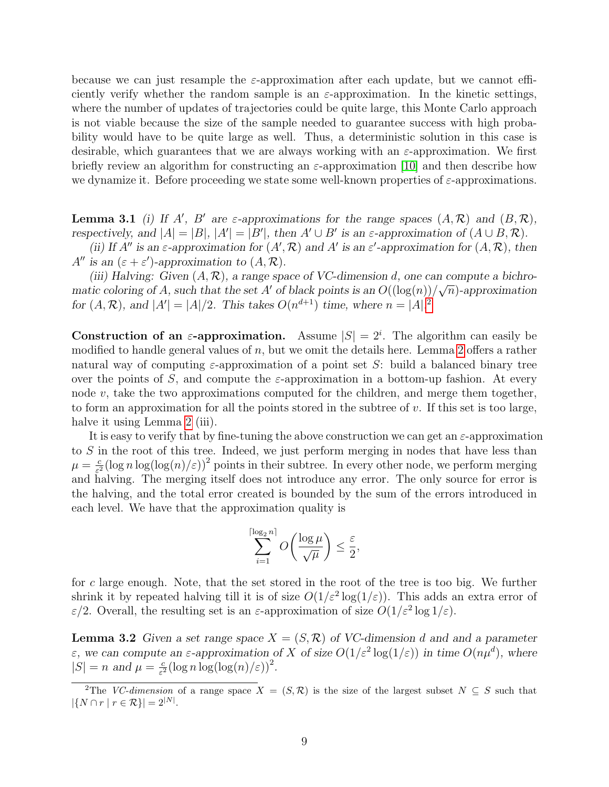because we can just resample the  $\varepsilon$ -approximation after each update, but we cannot efficiently verify whether the random sample is an  $\varepsilon$ -approximation. In the kinetic settings, where the number of updates of trajectories could be quite large, this Monte Carlo approach is not viable because the size of the sample needed to guarantee success with high probability would have to be quite large as well. Thus, a deterministic solution in this case is desirable, which guarantees that we are always working with an  $\varepsilon$ -approximation. We first briefly review an algorithm for constructing an  $\varepsilon$ -approximation [\[10\]](#page-12-11) and then describe how we dynamize it. Before proceeding we state some well-known properties of  $\varepsilon$ -approximations.

**Lemma 3.1** (i) If A', B' are  $\varepsilon$ -approximations for the range spaces  $(A, \mathcal{R})$  and  $(B, \mathcal{R})$ , respectively, and  $|A| = |B|$ ,  $|A'| = |B'|$ , then  $A' \cup B'$  is an  $\varepsilon$ -approximation of  $(A \cup B, \mathcal{R})$ .

(ii) If A'' is an  $\varepsilon$ -approximation for  $(A', \mathcal{R})$  and A' is an  $\varepsilon'$ -approximation for  $(A, \mathcal{R})$ , then  $A''$  is an  $(\varepsilon + \varepsilon')$ -approximation to  $(A, \mathcal{R})$ .

(iii) Halving: Given  $(A, \mathcal{R})$ , a range space of VC-dimension d, one can compute a bichromatic coloring of A, such that the set A' of black points is an  $O((\log(n))/\sqrt{n})$ -approximation for  $(A, \mathcal{R})$ , and  $|A'| = |A|/2$  $|A'| = |A|/2$ . This takes  $O(n^{d+1})$  time, where  $n = |A|$ .

Construction of an  $\varepsilon$ -approximation. Assume  $|S| = 2^i$ . The algorithm can easily be modified to handle general values of  $n$ , but we omit the details here. Lemma [2](#page-8-0) offers a rather natural way of computing  $\varepsilon$ -approximation of a point set S: build a balanced binary tree over the points of S, and compute the  $\varepsilon$ -approximation in a bottom-up fashion. At every node  $v$ , take the two approximations computed for the children, and merge them together, to form an approximation for all the points stored in the subtree of  $v$ . If this set is too large, halve it using Lemma [2](#page-8-0) (iii).

It is easy to verify that by fine-tuning the above construction we can get an  $\varepsilon$ -approximation to  $S$  in the root of this tree. Indeed, we just perform merging in nodes that have less than  $\mu = \frac{c}{c^2}$  $\frac{c}{\varepsilon^2}(\log n \log(\log(n)/\varepsilon))^2$  points in their subtree. In every other node, we perform merging and halving. The merging itself does not introduce any error. The only source for error is the halving, and the total error created is bounded by the sum of the errors introduced in each level. We have that the approximation quality is

$$
\sum_{i=1}^{\lceil \log_2 n \rceil} O\bigg(\frac{\log \mu}{\sqrt{\mu}}\bigg) \le \frac{\varepsilon}{2},
$$

for c large enough. Note, that the set stored in the root of the tree is too big. We further shrink it by repeated halving till it is of size  $O(1/\varepsilon^2 \log(1/\varepsilon))$ . This adds an extra error of  $\varepsilon/2$ . Overall, the resulting set is an  $\varepsilon$ -approximation of size  $O(1/\varepsilon^2 \log 1/\varepsilon)$ .

**Lemma 3.2** Given a set range space  $X = (S, \mathcal{R})$  of VC-dimension d and and a parameter ε, we can compute an ε-approximation of X of size  $O(1/\varepsilon^2 \log(1/\varepsilon))$  in time  $O(n\mu^d)$ , where  $|S| = n$  and  $\mu = \frac{c}{c^2}$  $\frac{c}{\varepsilon^2}(\log n \log(\log(n)/\varepsilon))^2$ .

<span id="page-8-0"></span><sup>&</sup>lt;sup>2</sup>The *VC-dimension* of a range space  $X = (S, \mathcal{R})$  is the size of the largest subset  $N \subseteq S$  such that  $|\{N \cap r \mid r \in \mathcal{R}\}| = 2^{|N|}.$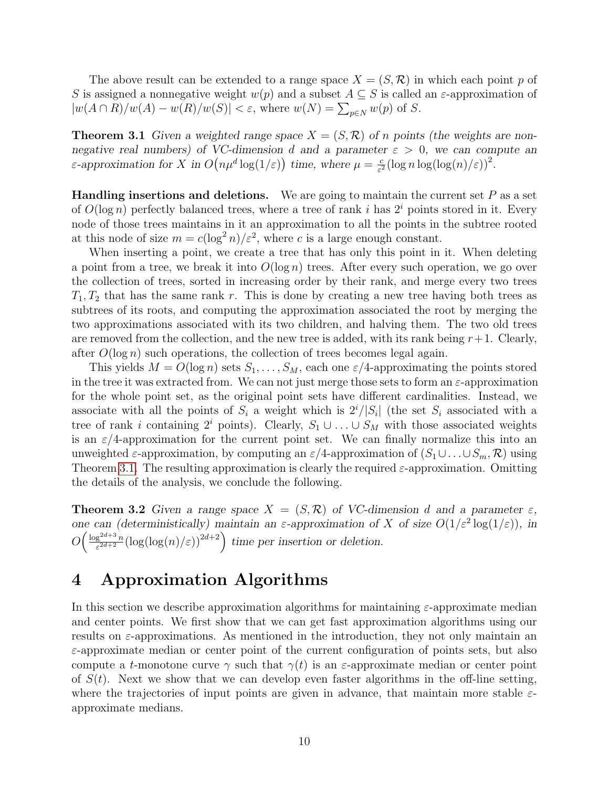The above result can be extended to a range space  $X = (S, \mathcal{R})$  in which each point p of S is assigned a nonnegative weight  $w(p)$  and a subset  $A \subseteq S$  is called an  $\varepsilon$ -approximation of  $|w(A \cap R)/w(A) - w(R)/w(S)| < \varepsilon$ , where  $w(N) = \sum_{p \in N} w(p)$  of S.

<span id="page-9-0"></span>**Theorem 3.1** Given a weighted range space  $X = (S, \mathcal{R})$  of n points (the weights are nonnegative real numbers) of VC-dimension d and a parameter  $\varepsilon > 0$ , we can compute an ε-approximation for X in  $O(nμ^d \log(1/\varepsilon))$  time, where  $μ = \frac{c}{\varepsilon^d}$  $\frac{c}{\varepsilon^2}(\log n \log(\log(n)/\varepsilon))^2$ .

**Handling insertions and deletions.** We are going to maintain the current set  $P$  as a set of  $O(\log n)$  perfectly balanced trees, where a tree of rank i has  $2<sup>i</sup>$  points stored in it. Every node of those trees maintains in it an approximation to all the points in the subtree rooted at this node of size  $m = c(\log^2 n)/\varepsilon^2$ , where c is a large enough constant.

When inserting a point, we create a tree that has only this point in it. When deleting a point from a tree, we break it into  $O(\log n)$  trees. After every such operation, we go over the collection of trees, sorted in increasing order by their rank, and merge every two trees  $T_1, T_2$  that has the same rank r. This is done by creating a new tree having both trees as subtrees of its roots, and computing the approximation associated the root by merging the two approximations associated with its two children, and halving them. The two old trees are removed from the collection, and the new tree is added, with its rank being  $r+1$ . Clearly, after  $O(\log n)$  such operations, the collection of trees becomes legal again.

This yields  $M = O(\log n)$  sets  $S_1, \ldots, S_M$ , each one  $\varepsilon/4$ -approximating the points stored in the tree it was extracted from. We can not just merge those sets to form an  $\varepsilon$ -approximation for the whole point set, as the original point sets have different cardinalities. Instead, we associate with all the points of  $S_i$  a weight which is  $2^i/|S_i|$  (the set  $S_i$  associated with a tree of rank i containing  $2^i$  points). Clearly,  $S_1 \cup \ldots \cup S_M$  with those associated weights is an  $\varepsilon/4$ -approximation for the current point set. We can finally normalize this into an unweighted  $\varepsilon$ -approximation, by computing an  $\varepsilon/4$ -approximation of  $(S_1 \cup \ldots \cup S_m, \mathcal{R})$  using Theorem [3.1.](#page-9-0) The resulting approximation is clearly the required  $\varepsilon$ -approximation. Omitting the details of the analysis, we conclude the following.

<span id="page-9-1"></span>**Theorem 3.2** Given a range space  $X = (S, \mathcal{R})$  of VC-dimension d and a parameter  $\varepsilon$ , one can (deterministically) maintain an  $\varepsilon$ -approximation of X of size  $O(1/\varepsilon^2 \log(1/\varepsilon))$ , in  $O\left(\frac{\log^{2d+3}n}{\epsilon^{2d+2}}\right)$  $\frac{g^{2d+3}n}{\varepsilon^{2d+2}}(\log(\log(n)/\varepsilon))^{2d+2}\right)$  time per insertion or deletion.

# <span id="page-9-2"></span>4 Approximation Algorithms

In this section we describe approximation algorithms for maintaining  $\varepsilon$ -approximate median and center points. We first show that we can get fast approximation algorithms using our results on  $\varepsilon$ -approximations. As mentioned in the introduction, they not only maintain an  $\varepsilon$ -approximate median or center point of the current configuration of points sets, but also compute a t-monotone curve  $\gamma$  such that  $\gamma(t)$  is an  $\varepsilon$ -approximate median or center point of  $S(t)$ . Next we show that we can develop even faster algorithms in the off-line setting, where the trajectories of input points are given in advance, that maintain more stable  $\varepsilon$ approximate medians.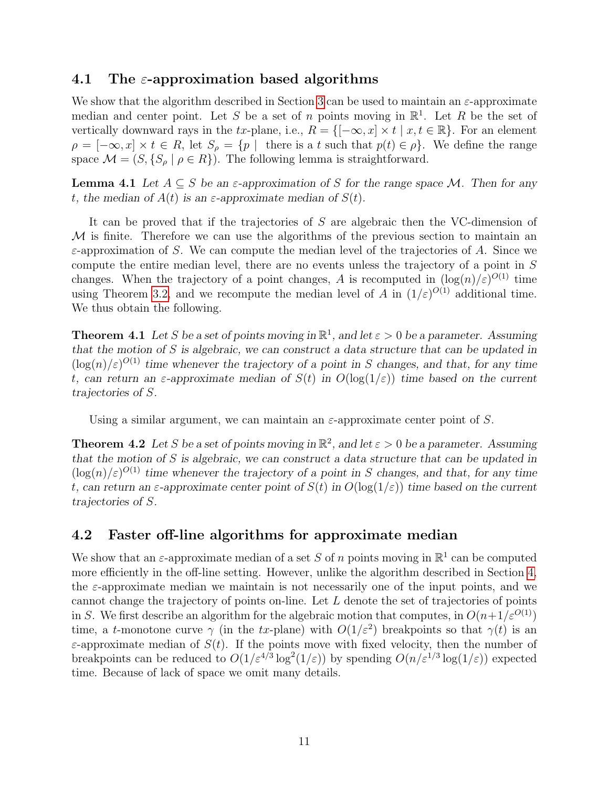### <span id="page-10-0"></span>4.1 The  $\varepsilon$ -approximation based algorithms

We show that the algorithm described in Section [3](#page-7-0) can be used to maintain an  $\varepsilon$ -approximate median and center point. Let S be a set of n points moving in  $\mathbb{R}^1$ . Let R be the set of vertically downward rays in the tx-plane, i.e.,  $R = \{[-\infty, x] \times t \mid x, t \in \mathbb{R}\}.$  For an element  $\rho = [-\infty, x] \times t \in R$ , let  $S_\rho = \{p \mid \text{there is a } t \text{ such that } p(t) \in \rho\}$ . We define the range space  $\mathcal{M} = (S, \{S_\rho \mid \rho \in R\})$ . The following lemma is straightforward.

**Lemma 4.1** Let  $A \subseteq S$  be an  $\varepsilon$ -approximation of S for the range space M. Then for any t, the median of  $A(t)$  is an  $\varepsilon$ -approximate median of  $S(t)$ .

It can be proved that if the trajectories of S are algebraic then the VC-dimension of  $\mathcal M$  is finite. Therefore we can use the algorithms of the previous section to maintain an  $\varepsilon$ -approximation of S. We can compute the median level of the trajectories of A. Since we compute the entire median level, there are no events unless the trajectory of a point in S changes. When the trajectory of a point changes, A is recomputed in  $(\log(n)/\varepsilon)^{O(1)}$  time using Theorem [3.2,](#page-9-1) and we recompute the median level of A in  $(1/\varepsilon)^{O(1)}$  additional time. We thus obtain the following.

**Theorem 4.1** Let S be a set of points moving in  $\mathbb{R}^1$ , and let  $\varepsilon > 0$  be a parameter. Assuming that the motion of S is algebraic, we can construct a data structure that can be updated in  $(\log(n)/\varepsilon)^{O(1)}$  time whenever the trajectory of a point in S changes, and that, for any time t, can return an  $\varepsilon$ -approximate median of  $S(t)$  in  $O(\log(1/\varepsilon))$  time based on the current trajectories of S.

Using a similar argument, we can maintain an  $\varepsilon$ -approximate center point of S.

**Theorem 4.2** Let S be a set of points moving in  $\mathbb{R}^2$ , and let  $\varepsilon > 0$  be a parameter. Assuming that the motion of S is algebraic, we can construct a data structure that can be updated in  $(\log(n)/\varepsilon)^{O(1)}$  time whenever the trajectory of a point in S changes, and that, for any time t, can return an  $\varepsilon$ -approximate center point of  $S(t)$  in  $O(\log(1/\varepsilon))$  time based on the current trajectories of S.

### <span id="page-10-1"></span>4.2 Faster off-line algorithms for approximate median

We show that an  $\varepsilon$ -approximate median of a set S of n points moving in  $\mathbb{R}^1$  can be computed more efficiently in the off-line setting. However, unlike the algorithm described in Section [4,](#page-9-2) the  $\varepsilon$ -approximate median we maintain is not necessarily one of the input points, and we cannot change the trajectory of points on-line. Let  $L$  denote the set of trajectories of points in S. We first describe an algorithm for the algebraic motion that computes, in  $O(n+1/\varepsilon^{O(1)})$ time, a t-monotone curve  $\gamma$  (in the tx-plane) with  $O(1/\varepsilon^2)$  breakpoints so that  $\gamma(t)$  is an  $\varepsilon$ -approximate median of  $S(t)$ . If the points move with fixed velocity, then the number of breakpoints can be reduced to  $O(1/\varepsilon^{4/3} \log^2(1/\varepsilon))$  by spending  $O(n/\varepsilon^{1/3} \log(1/\varepsilon))$  expected time. Because of lack of space we omit many details.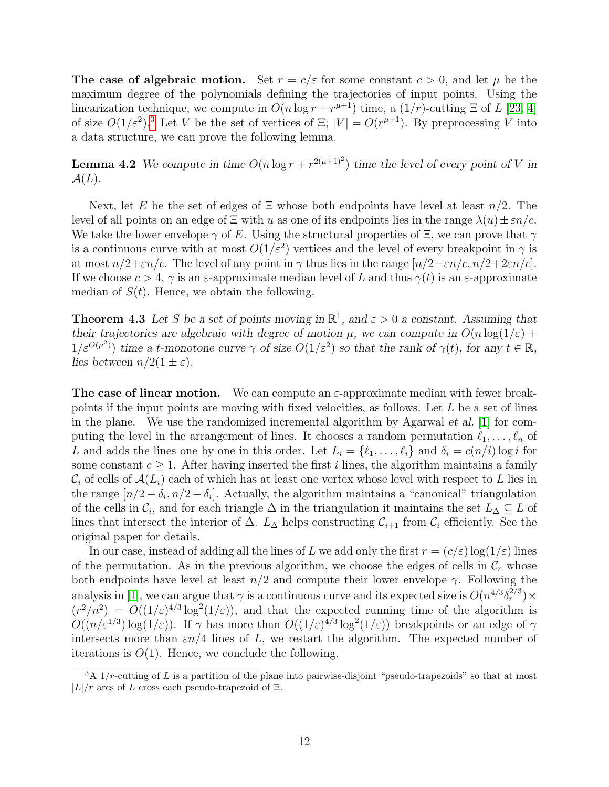The case of algebraic motion. Set  $r = c/\varepsilon$  for some constant  $c > 0$ , and let  $\mu$  be the maximum degree of the polynomials defining the trajectories of input points. Using the linearization technique, we compute in  $O(n \log r + r^{\mu+1})$  time, a  $(1/r)$ -cutting  $\Xi$  of L [\[23,](#page-13-13) [4\]](#page-12-12) of size  $O(1/\varepsilon^2)$ .<sup>[3](#page-11-0)</sup> Let V be the set of vertices of  $\Xi$ ;  $|V| = O(r^{\mu+1})$ . By preprocessing V into a data structure, we can prove the following lemma.

**Lemma 4.2** We compute in time  $O(n \log r + r^{2(\mu+1)^2})$  time the level of every point of V in  $\mathcal{A}(L)$ .

Next, let E be the set of edges of  $\Xi$  whose both endpoints have level at least  $n/2$ . The level of all points on an edge of  $\Xi$  with u as one of its endpoints lies in the range  $\lambda(u) \pm \varepsilon n/c$ . We take the lower envelope  $\gamma$  of E. Using the structural properties of  $\Xi$ , we can prove that  $\gamma$ is a continuous curve with at most  $O(1/\varepsilon^2)$  vertices and the level of every breakpoint in  $\gamma$  is at most  $n/2+\varepsilon n/c$ . The level of any point in  $\gamma$  thus lies in the range  $[n/2-\varepsilon n/c, n/2+2\varepsilon n/c]$ . If we choose  $c > 4$ ,  $\gamma$  is an  $\varepsilon$ -approximate median level of L and thus  $\gamma(t)$  is an  $\varepsilon$ -approximate median of  $S(t)$ . Hence, we obtain the following.

**Theorem 4.3** Let S be a set of points moving in  $\mathbb{R}^1$ , and  $\varepsilon > 0$  a constant. Assuming that their trajectories are algebraic with degree of motion  $\mu$ , we can compute in  $O(n \log(1/\varepsilon) +$  $1/\varepsilon^{O(\mu^2)}$  time a t-monotone curve  $\gamma$  of size  $O(1/\varepsilon^2)$  so that the rank of  $\gamma(t)$ , for any  $t \in \mathbb{R}$ , lies between  $n/2(1 \pm \varepsilon)$ .

**The case of linear motion.** We can compute an  $\varepsilon$ -approximate median with fewer breakpoints if the input points are moving with fixed velocities, as follows. Let  $L$  be a set of lines in the plane. We use the randomized incremental algorithm by Agarwal et al. [\[1\]](#page-12-13) for computing the level in the arrangement of lines. It chooses a random permutation  $\ell_1, \ldots, \ell_n$  of L and adds the lines one by one in this order. Let  $L_i = \{l_1, \ldots, l_i\}$  and  $\delta_i = c(n/i) \log i$  for some constant  $c \geq 1$ . After having inserted the first i lines, the algorithm maintains a family  $\mathcal{C}_i$  of cells of  $\mathcal{A}(L_i)$  each of which has at least one vertex whose level with respect to L lies in the range  $[n/2 - \delta_i, n/2 + \delta_i]$ . Actually, the algorithm maintains a "canonical" triangulation of the cells in  $\mathcal{C}_i$ , and for each triangle  $\Delta$  in the triangulation it maintains the set  $L_{\Delta} \subseteq L$  of lines that intersect the interior of  $\Delta$ .  $L_{\Delta}$  helps constructing  $\mathcal{C}_{i+1}$  from  $\mathcal{C}_i$  efficiently. See the original paper for details.

In our case, instead of adding all the lines of L we add only the first  $r = (c/\varepsilon) \log(1/\varepsilon)$  lines of the permutation. As in the previous algorithm, we choose the edges of cells in  $\mathcal{C}_r$  whose both endpoints have level at least  $n/2$  and compute their lower envelope  $\gamma$ . Following the analysis in [\[1\]](#page-12-13), we can argue that  $\gamma$  is a continuous curve and its expected size is  $O(n^{4/3} \delta_r^{2/3}) \times$  $(r^2/n^2) = O((1/\varepsilon)^{4/3} \log^2(1/\varepsilon))$ , and that the expected running time of the algorithm is  $O((n/\varepsilon^{1/3})\log(1/\varepsilon))$ . If  $\gamma$  has more than  $O((1/\varepsilon)^{4/3}\log^2(1/\varepsilon))$  breakpoints or an edge of  $\gamma$ intersects more than  $\varepsilon n/4$  lines of L, we restart the algorithm. The expected number of iterations is  $O(1)$ . Hence, we conclude the following.

<span id="page-11-0"></span> $3A$  1/r-cutting of L is a partition of the plane into pairwise-disjoint "pseudo-trapezoids" so that at most  $|L|/r$  arcs of L cross each pseudo-trapezoid of  $\Xi$ .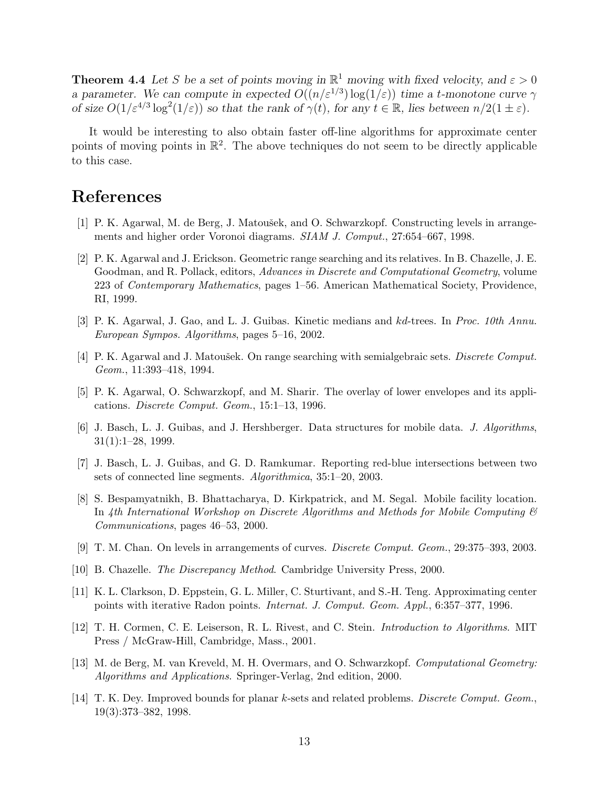**Theorem 4.4** Let S be a set of points moving in  $\mathbb{R}^1$  moving with fixed velocity, and  $\varepsilon > 0$ a parameter. We can compute in expected  $O((n/\varepsilon^{1/3}) \log(1/\varepsilon))$  time a t-monotone curve  $\gamma$ of size  $O(1/\varepsilon^{4/3} \log^2(1/\varepsilon))$  so that the rank of  $\gamma(t)$ , for any  $t \in \mathbb{R}$ , lies between  $n/2(1 \pm \varepsilon)$ .

It would be interesting to also obtain faster off-line algorithms for approximate center points of moving points in  $\mathbb{R}^2$ . The above techniques do not seem to be directly applicable to this case.

# References

- <span id="page-12-13"></span>[1] P. K. Agarwal, M. de Berg, J. Matoušek, and O. Schwarzkopf. Constructing levels in arrangements and higher order Voronoi diagrams. *SIAM J. Comput.*, 27:654–667, 1998.
- <span id="page-12-0"></span>[2] P. K. Agarwal and J. Erickson. Geometric range searching and its relatives. In B. Chazelle, J. E. Goodman, and R. Pollack, editors, Advances in Discrete and Computational Geometry, volume 223 of Contemporary Mathematics, pages 1–56. American Mathematical Society, Providence, RI, 1999.
- <span id="page-12-6"></span>[3] P. K. Agarwal, J. Gao, and L. J. Guibas. Kinetic medians and kd-trees. In Proc. 10th Annu. European Sympos. Algorithms, pages 5–16, 2002.
- <span id="page-12-12"></span>[4] P. K. Agarwal and J. Matoušek. On range searching with semialgebraic sets. *Discrete Comput.* Geom., 11:393–418, 1994.
- <span id="page-12-10"></span>[5] P. K. Agarwal, O. Schwarzkopf, and M. Sharir. The overlay of lower envelopes and its applications. Discrete Comput. Geom., 15:1–13, 1996.
- <span id="page-12-2"></span>[6] J. Basch, L. J. Guibas, and J. Hershberger. Data structures for mobile data. J. Algorithms, 31(1):1–28, 1999.
- <span id="page-12-8"></span>[7] J. Basch, L. J. Guibas, and G. D. Ramkumar. Reporting red-blue intersections between two sets of connected line segments. Algorithmica, 35:1–20, 2003.
- <span id="page-12-1"></span>[8] S. Bespamyatnikh, B. Bhattacharya, D. Kirkpatrick, and M. Segal. Mobile facility location. In 4th International Workshop on Discrete Algorithms and Methods for Mobile Computing  $\mathcal{C}$ Communications, pages 46–53, 2000.
- <span id="page-12-5"></span>[9] T. M. Chan. On levels in arrangements of curves. Discrete Comput. Geom., 29:375–393, 2003.
- <span id="page-12-11"></span>[10] B. Chazelle. The Discrepancy Method. Cambridge University Press, 2000.
- <span id="page-12-7"></span>[11] K. L. Clarkson, D. Eppstein, G. L. Miller, C. Sturtivant, and S.-H. Teng. Approximating center points with iterative Radon points. Internat. J. Comput. Geom. Appl., 6:357–377, 1996.
- <span id="page-12-3"></span>[12] T. H. Cormen, C. E. Leiserson, R. L. Rivest, and C. Stein. Introduction to Algorithms. MIT Press / McGraw-Hill, Cambridge, Mass., 2001.
- <span id="page-12-9"></span>[13] M. de Berg, M. van Kreveld, M. H. Overmars, and O. Schwarzkopf. Computational Geometry: Algorithms and Applications. Springer-Verlag, 2nd edition, 2000.
- <span id="page-12-4"></span>[14] T. K. Dey. Improved bounds for planar k-sets and related problems. Discrete Comput. Geom., 19(3):373–382, 1998.